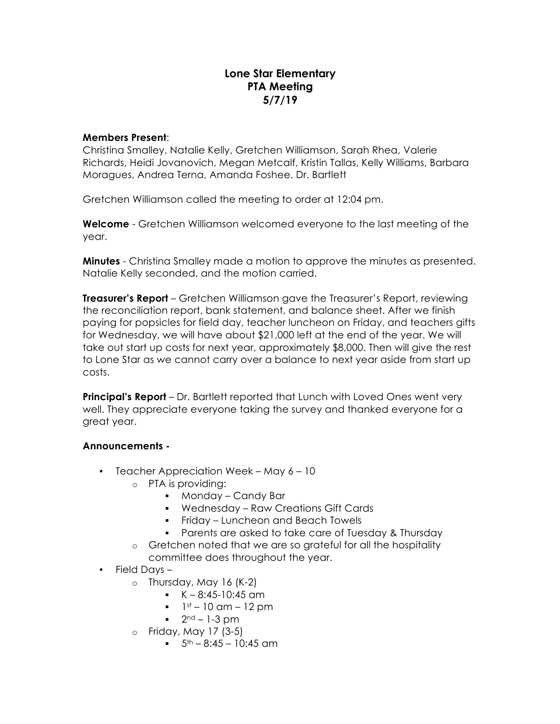## **Lone Star Elementary PTA Meeting 5/7/19**

## **Members Present**:

Christina Smalley, Natalie Kelly, Gretchen Williamson, Sarah Rhea, Valerie Richards, Heidi Jovanovich, Megan Metcalf, Kristin Tallas, Kelly Williams, Barbara Moragues, Andrea Terna, Amanda Foshee, Dr. Bartlett

Gretchen Williamson called the meeting to order at 12:04 pm.

**Welcome** - Gretchen Williamson welcomed everyone to the last meeting of the year.

**Minutes** - Christina Smalley made a motion to approve the minutes as presented. Natalie Kelly seconded, and the motion carried.

**Treasurer's Report** – Gretchen Williamson gave the Treasurer's Report, reviewing the reconciliation report, bank statement, and balance sheet. After we finish paying for popsicles for field day, teacher luncheon on Friday, and teachers gifts for Wednesday, we will have about \$21,000 left at the end of the year. We will take out start up costs for next year, approximately \$8,000. Then will give the rest to Lone Star as we cannot carry over a balance to next year aside from start up costs.

**Principal's Report** – Dr. Bartlett reported that Lunch with Loved Ones went very well. They appreciate everyone taking the survey and thanked everyone for a great year.

## **Announcements -**

- Teacher Appreciation Week May 6 10
	- o PTA is providing:
		- § Monday Candy Bar
		- § Wednesday Raw Creations Gift Cards
		- § Friday Luncheon and Beach Towels
		- § Parents are asked to take care of Tuesday & Thursday
	- o Gretchen noted that we are so grateful for all the hospitality committee does throughout the year.
- Field Days
	- $\circ$  Thursday, May 16 (K-2)
		- $K 8:45-10:45$  am
		- $\bullet$  1st 10 am 12 pm
		- $\blacksquare$  2<sup>nd</sup> 1-3 pm
	- o Friday, May 17 (3-5)
		- $\bullet$  5<sup>th</sup> 8:45 10:45 am